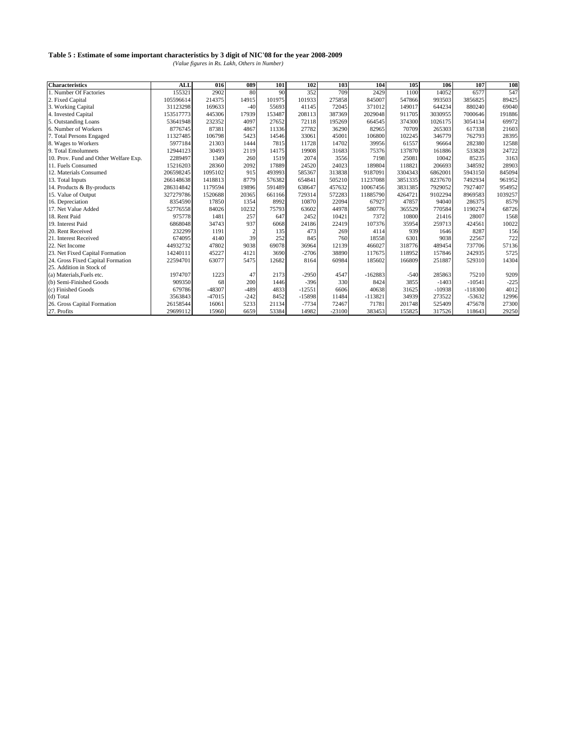| <b>Characteristics</b>                | <b>ALL</b> | 016      | 089    | 101    | 102      | 103      | 104       | 105     | 106      | 107       | 108     |
|---------------------------------------|------------|----------|--------|--------|----------|----------|-----------|---------|----------|-----------|---------|
| 1. Number Of Factories                | 155321     | 2902     | 80     | 90     | 352      | 709      | 2429      | 1100    | 14052    | 6577      | 547     |
| 2. Fixed Capital                      | 105596614  | 214375   | 14915  | 101975 | 101933   | 275858   | 845007    | 547866  | 993503   | 3856825   | 89425   |
| 3. Working Capital                    | 31123298   | 169633   | $-40$  | 55693  | 41145    | 72045    | 371012    | 149017  | 644234   | 880240    | 69040   |
| 4. Invested Capital                   | 153517773  | 445306   | 17939  | 153487 | 208113   | 387369   | 2029048   | 911705  | 3030955  | 7000646   | 191886  |
| 5. Outstanding Loans                  | 53641948   | 232352   | 4097   | 27652  | 72118    | 195269   | 664545    | 374300  | 1026175  | 3054134   | 69972   |
| 6. Number of Workers                  | 8776745    | 87381    | 4867   | 11336  | 27782    | 36290    | 82965     | 70709   | 265303   | 617338    | 21603   |
| 7. Total Persons Engaged              | 11327485   | 106798   | 5423   | 14546  | 33061    | 45001    | 106800    | 102245  | 346779   | 762793    | 28395   |
| 8. Wages to Workers                   | 5977184    | 21303    | 1444   | 7815   | 11728    | 14702    | 39956     | 61557   | 96664    | 282380    | 12588   |
| 9. Total Emolumnets                   | 12944123   | 30493    | 2119   | 14175  | 19908    | 31683    | 75376     | 137870  | 161886   | 533828    | 24722   |
| 10. Prov. Fund and Other Welfare Exp. | 2289497    | 1349     | 260    | 1519   | 2074     | 3556     | 7198      | 25081   | 10042    | 85235     | 3163    |
| 11. Fuels Consumed                    | 15216203   | 28360    | 2092   | 17889  | 24520    | 24023    | 189804    | 118821  | 206693   | 348592    | 28903   |
| 12. Materials Consumed                | 206598245  | 1095102  | 915    | 493993 | 585367   | 313838   | 9187091   | 3304343 | 6862001  | 5943150   | 845094  |
| 13. Total Inputs                      | 266148638  | 1418813  | 8779   | 576382 | 654841   | 505210   | 11237088  | 3851335 | 8237670  | 7492934   | 961952  |
| 14. Products & By-products            | 286314842  | 1179594  | 19896  | 591489 | 638647   | 457632   | 10067456  | 3831385 | 7929052  | 7927407   | 954952  |
| 15. Value of Output                   | 327279786  | 1520688  | 20365  | 661166 | 729314   | 572283   | 11885790  | 4264721 | 9102294  | 8969583   | 1039257 |
| 16. Depreciation                      | 8354590    | 17850    | 1354   | 8992   | 10870    | 22094    | 67927     | 47857   | 94040    | 286375    | 8579    |
| 17. Net Value Added                   | 52776558   | 84026    | 10232  | 75793  | 63602    | 44978    | 580776    | 365529  | 770584   | 1190274   | 68726   |
| 18. Rent Paid                         | 975778     | 1481     | 257    | 647    | 2452     | 10421    | 7372      | 10800   | 21416    | 28007     | 1568    |
| 19. Interest Paid                     | 6868048    | 34743    | 937    | 6068   | 24186    | 22419    | 107376    | 35954   | 259713   | 424561    | 10022   |
| 20. Rent Received                     | 232299     | 1191     |        | 135    | 473      | 269      | 4114      | 939     | 1646     | 8287      | 156     |
| 21. Interest Received                 | 674095     | 4140     | 39     | 252    | 845      | 760      | 18558     | 6301    | 9038     | 22567     | 722     |
| 22. Net Income                        | 44932732   | 47802    | 9038   | 69078  | 36964    | 12139    | 466027    | 318776  | 489454   | 737706    | 57136   |
| 23. Net Fixed Capital Formation       | 14240111   | 45227    | 4121   | 3690   | $-2706$  | 38890    | 117675    | 118952  | 157846   | 242935    | 5725    |
| 24. Gross Fixed Capital Formation     | 22594701   | 63077    | 5475   | 12682  | 8164     | 60984    | 185602    | 166809  | 251887   | 529310    | 14304   |
| 25. Addition in Stock of              |            |          |        |        |          |          |           |         |          |           |         |
| (a) Materials, Fuels etc.             | 1974707    | 1223     | 47     | 2173   | $-2950$  | 4547     | $-162883$ | $-540$  | 285863   | 75210     | 9209    |
| (b) Semi-Finished Goods               | 909350     | 68       | 200    | 1446   | $-396$   | 330      | 8424      | 3855    | $-1403$  | $-10541$  | $-225$  |
| (c) Finished Goods                    | 679786     | -48307   | $-489$ | 4833   | $-12551$ | 6606     | 40638     | 31625   | $-10938$ | $-118300$ | 4012    |
| (d) Total                             | 3563843    | $-47015$ | $-242$ | 8452   | $-15898$ | 11484    | $-113821$ | 34939   | 273522   | $-53632$  | 12996   |
| 26. Gross Capital Formation           | 26158544   | 16061    | 5233   | 21134  | $-7734$  | 72467    | 71781     | 201748  | 525409   | 475678    | 27300   |
| 27. Profits                           | 29699112   | 15960    | 6659   | 53384  | 14982    | $-23100$ | 383453    | 155825  | 317526   | 118643    | 29250   |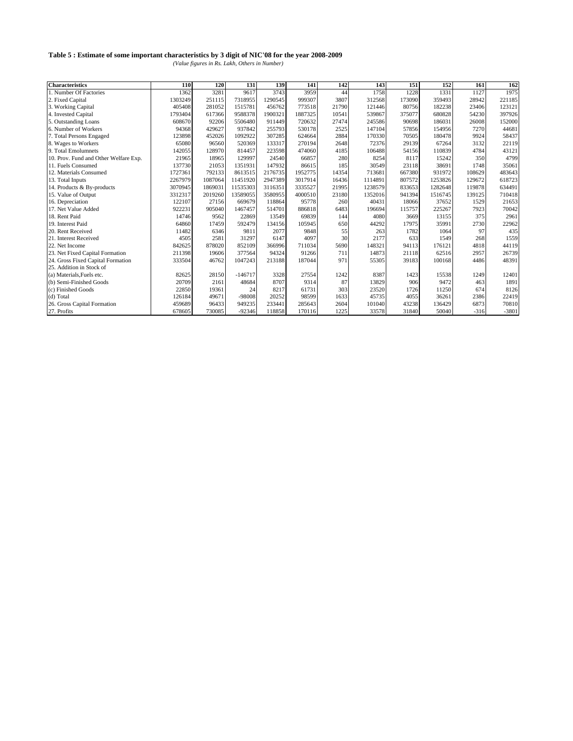| <b>Characteristics</b>                | 110     | 120     | 131       | 139     | 141     | 142   | 143     | 151    | 152     | 161    | 162     |
|---------------------------------------|---------|---------|-----------|---------|---------|-------|---------|--------|---------|--------|---------|
| 1. Number Of Factories                | 1362    | 3281    | 9617      | 3743    | 3959    | 44    | 1758    | 1228   | 1331    | 1127   | 1975    |
| 2. Fixed Capital                      | 1303249 | 251115  | 7318955   | 1290545 | 999307  | 3807  | 312568  | 173090 | 359493  | 28942  | 221185  |
| 3. Working Capital                    | 405408  | 281052  | 1515781   | 456762  | 773518  | 21790 | 121446  | 80756  | 182238  | 23406  | 123121  |
| 4. Invested Capital                   | 1793404 | 617366  | 9588378   | 1900321 | 1887325 | 10541 | 539867  | 375077 | 680828  | 54230  | 397926  |
| 5. Outstanding Loans                  | 608670  | 92206   | 5506480   | 911449  | 720632  | 27474 | 245586  | 90698  | 186031  | 26008  | 152000  |
| 6. Number of Workers                  | 94368   | 429627  | 937842    | 255793  | 530178  | 2525  | 147104  | 57856  | 154956  | 7270   | 44681   |
| 7. Total Persons Engaged              | 123898  | 452026  | 1092922   | 307285  | 624664  | 2884  | 170330  | 70505  | 180478  | 9924   | 58437   |
| 8. Wages to Workers                   | 65080   | 96560   | 520369    | 133317  | 270194  | 2648  | 72376   | 29139  | 67264   | 3132   | 22119   |
| 9. Total Emolumnets                   | 142055  | 128970  | 814457    | 223598  | 474060  | 4185  | 106488  | 54156  | 110839  | 4784   | 43121   |
| 10. Prov. Fund and Other Welfare Exp. | 21965   | 18965   | 129997    | 24540   | 66857   | 280   | 8254    | 8117   | 15242   | 350    | 4799    |
| 11. Fuels Consumed                    | 137730  | 21053   | 1351931   | 147932  | 86615   | 185   | 30549   | 23118  | 38691   | 1748   | 35061   |
| 12. Materials Consumed                | 1727361 | 792133  | 8613515   | 2176735 | 1952775 | 14354 | 713681  | 667380 | 931972  | 108629 | 483643  |
| 13. Total Inputs                      | 2267979 | 1087064 | 11451920  | 2947389 | 3017914 | 16436 | 1114891 | 807572 | 1253826 | 129672 | 618723  |
| 14. Products & By-products            | 3070945 | 1869031 | 11535303  | 3116351 | 3335527 | 21995 | 1238579 | 833653 | 1282648 | 119878 | 634491  |
| 15. Value of Output                   | 3312317 | 2019260 | 13589055  | 3580955 | 4000510 | 23180 | 1352016 | 941394 | 1516745 | 139125 | 710418  |
| 16. Depreciation                      | 122107  | 27156   | 669679    | 118864  | 95778   | 260   | 40431   | 18066  | 37652   | 1529   | 21653   |
| 17. Net Value Added                   | 922231  | 905040  | 1467457   | 514701  | 886818  | 6483  | 196694  | 115757 | 225267  | 7923   | 70042   |
| 18. Rent Paid                         | 14746   | 9562    | 22869     | 13549   | 69839   | 144   | 4080    | 3669   | 13155   | 375    | 2961    |
| 19. Interest Paid                     | 64860   | 17459   | 592479    | 134156  | 105945  | 650   | 44292   | 17975  | 35991   | 2730   | 22962   |
| 20. Rent Received                     | 11482   | 6346    | 9811      | 2077    | 9848    | 55    | 263     | 1782   | 1064    | 97     | 435     |
| 21. Interest Received                 | 4505    | 2581    | 31297     | 6147    | 4097    | 30    | 2177    | 633    | 1549    | 268    | 1559    |
| 22. Net Income                        | 842625  | 878020  | 852109    | 366996  | 711034  | 5690  | 148321  | 94113  | 176121  | 4818   | 44119   |
| 23. Net Fixed Capital Formation       | 211398  | 19606   | 377564    | 94324   | 91266   | 711   | 14873   | 21118  | 62516   | 2957   | 26739   |
| 24. Gross Fixed Capital Formation     | 333504  | 46762   | 1047243   | 213188  | 187044  | 971   | 55305   | 39183  | 100168  | 4486   | 48391   |
| 25. Addition in Stock of              |         |         |           |         |         |       |         |        |         |        |         |
| (a) Materials, Fuels etc.             | 82625   | 28150   | $-146717$ | 3328    | 27554   | 1242  | 8387    | 1423   | 15538   | 1249   | 12401   |
| (b) Semi-Finished Goods               | 20709   | 2161    | 48684     | 8707    | 9314    | 87    | 13829   | 906    | 9472    | 463    | 1891    |
| (c) Finished Goods                    | 22850   | 19361   | 24        | 8217    | 61731   | 303   | 23520   | 1726   | 11250   | 674    | 8126    |
| (d) Total                             | 126184  | 49671   | -98008    | 20252   | 98599   | 1633  | 45735   | 4055   | 36261   | 2386   | 22419   |
| 26. Gross Capital Formation           | 459689  | 96433   | 949235    | 233441  | 285643  | 2604  | 101040  | 43238  | 136429  | 6873   | 70810   |
| 27. Profits                           | 678605  | 730085  | $-92346$  | 118858  | 170116  | 1225  | 33578   | 31840  | 50040   | $-316$ | $-3801$ |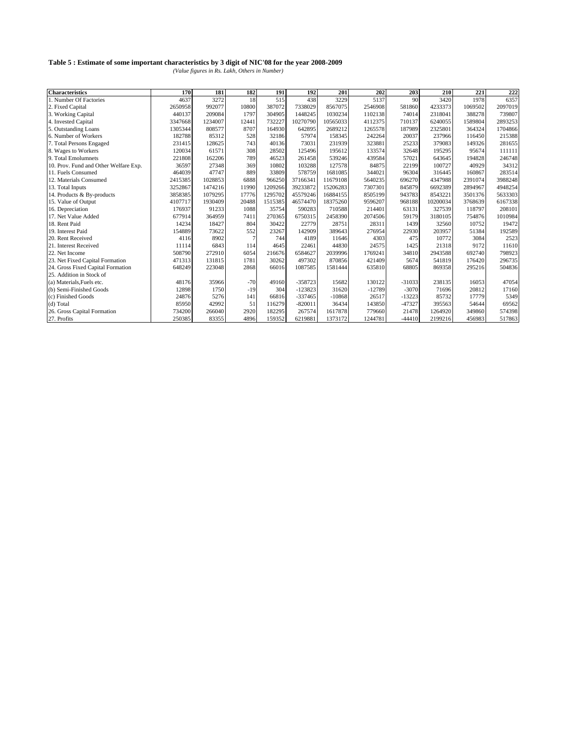| <b>Characteristics</b>                | 170     | 181     | 182   | 191     | 192       | 201      | 202      | 203      | 210      | 221     | 222     |
|---------------------------------------|---------|---------|-------|---------|-----------|----------|----------|----------|----------|---------|---------|
| 1. Number Of Factories                | 4637    | 3272    | 18    | 515     | 438       | 3229     | 5137     | 90       | 3420     | 1978    | 6357    |
| 2. Fixed Capital                      | 2650958 | 992077  | 10800 | 387072  | 7338029   | 8567075  | 2546908  | 581860   | 4233373  | 1069502 | 2097019 |
| 3. Working Capital                    | 440137  | 209084  | 1797  | 304905  | 1448245   | 1030234  | 1102138  | 74014    | 2318041  | 388278  | 739807  |
| 4. Invested Capital                   | 3347668 | 1234007 | 12441 | 732227  | 10270790  | 10565033 | 4112375  | 710137   | 6240055  | 1589804 | 2893253 |
| 5. Outstanding Loans                  | 1305344 | 808577  | 8707  | 164930  | 642895    | 2689212  | 1265578  | 187989   | 2325801  | 364324  | 1704866 |
| 6. Number of Workers                  | 182788  | 85312   | 528   | 32186   | 57974     | 158345   | 242264   | 20037    | 237966   | 116450  | 215388  |
| 7. Total Persons Engaged              | 231415  | 128625  | 743   | 40136   | 73031     | 231939   | 323881   | 25233    | 379083   | 149326  | 281655  |
| 8. Wages to Workers                   | 120034  | 61571   | 308   | 28502   | 125496    | 195612   | 133574   | 32648    | 195295   | 95674   | 111111  |
| 9. Total Emolumnets                   | 221808  | 162206  | 789   | 46523   | 261458    | 539246   | 439584   | 57021    | 643645   | 194828  | 246748  |
| 10. Prov. Fund and Other Welfare Exp. | 36597   | 27348   | 369   | 10802   | 103288    | 127578   | 84875    | 22199    | 100727   | 40929   | 34312   |
| 11. Fuels Consumed                    | 464039  | 47747   | 889   | 33809   | 578759    | 1681085  | 344021   | 96304    | 316445   | 160867  | 283514  |
| 12. Materials Consumed                | 2415385 | 1028853 | 6888  | 966250  | 37166341  | 11679108 | 5640235  | 696270   | 4347988  | 2391074 | 3988248 |
| 13. Total Inputs                      | 3252867 | 1474216 | 11990 | 1209266 | 39233872  | 15206283 | 7307301  | 845879   | 6692389  | 2894967 | 4948254 |
| 14. Products & By-products            | 3858385 | 1079295 | 17776 | 1295702 | 45579246  | 16884155 | 8505199  | 943783   | 8543221  | 3501376 | 5633303 |
| 15. Value of Output                   | 4107717 | 1930409 | 20488 | 1515385 | 46574470  | 18375260 | 9596207  | 968188   | 10200034 | 3768639 | 6167338 |
| 16. Depreciation                      | 176937  | 91233   | 1088  | 35754   | 590283    | 710588   | 214401   | 63131    | 327539   | 118797  | 208101  |
| 17. Net Value Added                   | 677914  | 364959  | 7411  | 270365  | 6750315   | 2458390  | 2074506  | 59179    | 3180105  | 754876  | 1010984 |
| 18. Rent Paid                         | 14234   | 18427   | 804   | 30422   | 22779     | 28751    | 28311    | 1439     | 32560    | 10752   | 19472   |
| 19. Interest Paid                     | 154889  | 73622   | 552   | 23267   | 142909    | 389643   | 276954   | 22930    | 203957   | 51384   | 192589  |
| 20. Rent Received                     | 4116    | 8902    |       | 744     | 4189      | 11646    | 4303     | 475      | 10772    | 3084    | 2523    |
| 21. Interest Received                 | 11114   | 6843    | 114   | 4645    | 22461     | 44830    | 24575    | 1425     | 21318    | 9172    | 11610   |
| 22. Net Income                        | 508790  | 272910  | 6054  | 216676  | 6584627   | 2039996  | 1769241  | 34810    | 2943588  | 692740  | 798923  |
| 23. Net Fixed Capital Formation       | 471313  | 131815  | 1781  | 30262   | 497302    | 870856   | 421409   | 5674     | 541819   | 176420  | 296735  |
| 24. Gross Fixed Capital Formation     | 648249  | 223048  | 2868  | 66016   | 1087585   | 1581444  | 635810   | 68805    | 869358   | 295216  | 504836  |
| 25. Addition in Stock of              |         |         |       |         |           |          |          |          |          |         |         |
| (a) Materials, Fuels etc.             | 48176   | 35966   | $-70$ | 49160   | $-358723$ | 15682    | 130122   | $-31033$ | 238135   | 16053   | 47054   |
| (b) Semi-Finished Goods               | 12898   | 1750    | $-19$ | 304     | $-123823$ | 31620    | $-12789$ | $-3070$  | 71696    | 20812   | 17160   |
| (c) Finished Goods                    | 24876   | 5276    | 141   | 66816   | $-337465$ | $-10868$ | 26517    | $-13223$ | 85732    | 17779   | 5349    |
| (d) Total                             | 85950   | 42992   | 51    | 116279  | $-820011$ | 36434    | 143850   | $-47327$ | 395563   | 54644   | 69562   |
| 26. Gross Capital Formation           | 734200  | 266040  | 2920  | 182295  | 267574    | 1617878  | 779660   | 21478    | 1264920  | 349860  | 574398  |
| 27. Profits                           | 250385  | 83355   | 4896  | 159352  | 6219881   | 1373172  | 1244781  | $-44410$ | 2199216  | 456983  | 517863  |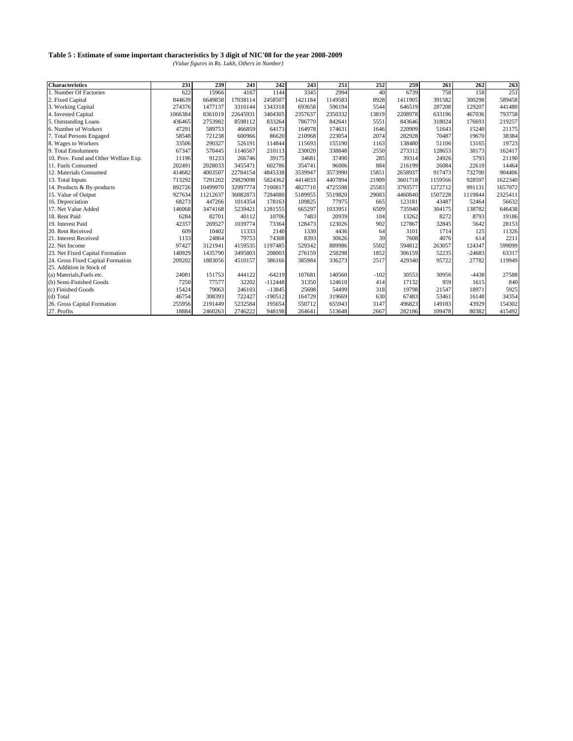| <b>Characteristics</b>                | 231     | 239      | 241      | 242       | 243     | 251     | 252    | 259     | 261     | 262      | 263     |
|---------------------------------------|---------|----------|----------|-----------|---------|---------|--------|---------|---------|----------|---------|
| 1. Number Of Factories                | 622     | 15966    | 4167     | 1144      | 3345    | 2994    | 40     | 6739    | 758     | 158      | 251     |
| 2. Fixed Capital                      | 844639  | 6649858  | 17038114 | 2458507   | 1421184 | 1149583 | 8928   | 1411905 | 391582  | 300298   | 589458  |
| 3. Working Capital                    | 274376  | 1477137  | 3316144  | 1343318   | 693658  | 596194  | 5544   | 646519  | 287208  | 129207   | 441480  |
| 4. Invested Capital                   | 1066384 | 8361019  | 22645931 | 3404305   | 2357637 | 2350332 | 13819  | 2208978 | 633196  | 467036   | 793758  |
| 5. Outstanding Loans                  | 436465  | 2753982  | 8598112  | 833264    | 786770  | 842641  | 5551   | 843646  | 318024  | 176693   | 219257  |
| 6. Number of Workers                  | 47291   | 589753   | 466859   | 64173     | 164978  | 174631  | 1646   | 220909  | 51643   | 15240    | 21175   |
| 7. Total Persons Engaged              | 58548   | 721238   | 600966   | 86620     | 210968  | 223054  | 2074   | 282928  | 70487   | 19670    | 38384   |
| 8. Wages to Workers                   | 33506   | 290327   | 526191   | 114844    | 115693  | 155190  | 1163   | 138480  | 51106   | 13165    | 19723   |
| 9. Total Emolumnets                   | 67347   | 570445   | 1146567  | 210113    | 230020  | 338848  | 2550   | 273312  | 128653  | 38173    | 162417  |
| 10. Prov. Fund and Other Welfare Exp. | 11196   | 91233    | 266746   | 39175     | 34681   | 37490   | 285    | 39314   | 24926   | 5793     | 21190   |
| 11. Fuels Consumed                    | 202491  | 2028033  | 3455471  | 602786    | 354741  | 96006   | 884    | 216199  | 26084   | 22610    | 14464   |
| 12. Materials Consumed                | 414682  | 4003507  | 22784154 | 4845338   | 3539947 | 3573990 | 15851  | 2658937 | 917473  | 732700   | 904406  |
| 13. Total Inputs                      | 713292  | 7291202  | 29829098 | 5824362   | 4414833 | 4407894 | 21909  | 3601718 | 1159566 | 928597   | 1622340 |
| 14. Products & By-products            | 892726  | 10499970 | 32997774 | 7100817   | 4827710 | 4725598 | 25583  | 3793577 | 1272712 | 991131   | 1657072 |
| 15. Value of Output                   | 927634  | 11212637 | 36082873 | 7284080   | 5189955 | 5519820 | 29083  | 4460840 | 1507228 | 1119844  | 2325411 |
| 16. Depreciation                      | 68273   | 447266   | 1014354  | 178163    | 109825  | 77975   | 665    | 123181  | 43487   | 52464    | 56632   |
| 17. Net Value Added                   | 146068  | 3474168  | 5239421  | 1281555   | 665297  | 1033951 | 6509   | 735940  | 304175  | 138782   | 646438  |
| 18. Rent Paid                         | 6284    | 82701    | 40112    | 10706     | 7483    | 20939   | 104    | 13262   | 8272    | 8793     | 19186   |
| 19. Interest Paid                     | 42357   | 269527   | 1039774  | 73364     | 128473  | 123026  | 902    | 127867  | 32845   | 5642     | 28153   |
| 20. Rent Received                     | 609     | 10402    | 11333    | 2140      | 1330    | 4436    | 64     | 3101    | 1714    | 125      | 11326   |
| 21. Interest Received                 | 1133    | 24864    | 79753    | 74308     | 8393    | 30626   | 39     | 7608    | 4076    | 614      | 2211    |
| 22. Net Income                        | 97427   | 3121941  | 4159535  | 1197485   | 529342  | 889986  | 5502   | 594812  | 263057  | 124347   | 599099  |
| 23. Net Fixed Capital Formation       | 140929  | 1435790  | 3495803  | 208003    | 276159  | 258298  | 1852   | 306159  | 52235   | $-24683$ | 63317   |
| 24. Gross Fixed Capital Formation     | 209202  | 1883056  | 4510157  | 386166    | 385984  | 336273  | 2517   | 429340  | 95722   | 27782    | 119949  |
| 25. Addition in Stock of              |         |          |          |           |         |         |        |         |         |          |         |
| (a) Materials, Fuels etc.             | 24081   | 151753   | 444122   | $-64219$  | 107681  | 140560  | $-102$ | 30553   | 30956   | $-4438$  | 27588   |
| (b) Semi-Finished Goods               | 7250    | 77577    | 32202    | $-112448$ | 31350   | 124610  | 414    | 17132   | 959     | 1615     | 840     |
| (c) Finished Goods                    | 15424   | 79063    | 246103   | $-13845$  | 25698   | 54499   | 318    | 19798   | 21547   | 18971    | 5925    |
| (d) Total                             | 46754   | 308393   | 722427   | $-190512$ | 164729  | 319669  | 630    | 67483   | 53461   | 16148    | 34354   |
| 26. Gross Capital Formation           | 255956  | 2191449  | 5232584  | 195654    | 550712  | 655943  | 3147   | 496823  | 149183  | 43929    | 154302  |
| 27. Profits                           | 18884   | 2460263  | 2746222  | 948198    | 264641  | 513648  | 2667   | 282186  | 109478  | 80382    | 415492  |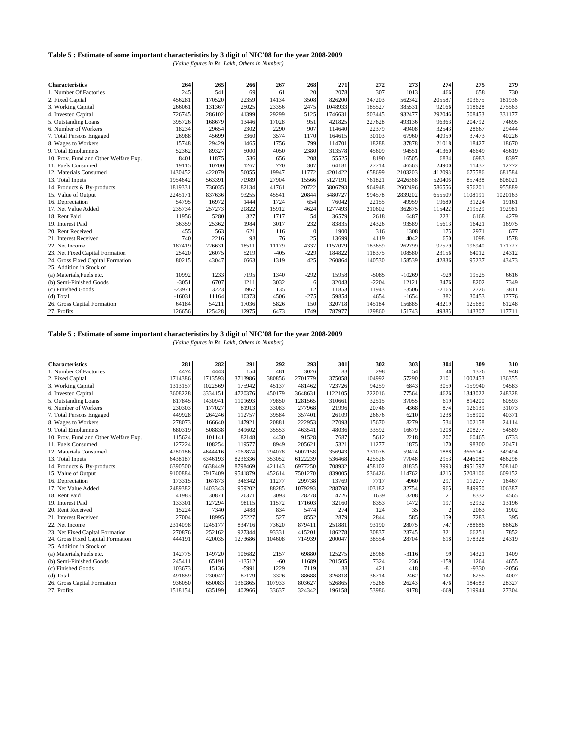*(Value figures in Rs. Lakh, Others in Number)*

| <b>Characteristics</b>                | 264      | 265    | 266   | 267    | 268      | 271     | 272     | 273      | 274     | 275     | 279     |
|---------------------------------------|----------|--------|-------|--------|----------|---------|---------|----------|---------|---------|---------|
| 1. Number Of Factories                | 245      | 541    | 69    | 61     | 20       | 2078    | 307     | 1013     | 466     | 658     | 730     |
| 2. Fixed Capital                      | 456281   | 170520 | 22359 | 14134  | 3508     | 826200  | 347203  | 562342   | 205587  | 303675  | 181936  |
| 3. Working Capital                    | 266061   | 131367 | 25025 | 23356  | 2475     | 1048933 | 185527  | 385531   | 92166   | 118628  | 275563  |
| 4. Invested Capital                   | 726745   | 286102 | 41399 | 29299  | 5125     | 1746631 | 503445  | 932477   | 292046  | 508453  | 331177  |
| 5. Outstanding Loans                  | 395726   | 168679 | 13446 | 17028  | 951      | 421825  | 227628  | 493136   | 96363   | 204792  | 74695   |
| 6. Number of Workers                  | 18234    | 29654  | 2302  | 2290   | 907      | 114640  | 22379   | 49408    | 32543   | 28667   | 29444   |
| 7. Total Persons Engaged              | 26988    | 45699  | 3360  | 3574   | 1170     | 164615  | 30103   | 67960    | 40959   | 37473   | 40226   |
| 8. Wages to Workers                   | 15748    | 29429  | 1465  | 1756   | 799      | 114701  | 18288   | 37878    | 21018   | 18427   | 18670   |
| 9. Total Emolumnets                   | 52362    | 89327  | 5000  | 4050   | 2380     | 313578  | 45609   | 94551    | 41360   | 46649   | 45619   |
| 10. Prov. Fund and Other Welfare Exp. | 8401     | 11875  | 536   | 656    | 208      | 55525   | 8190    | 16505    | 6834    | 6983    | 8397    |
| 11. Fuels Consumed                    | 19115    | 10700  | 1267  | 770    | 307      | 64181   | 27714   | 46563    | 24900   | 11437   | 12772   |
| 12. Materials Consumed                | 1430452  | 422079 | 56055 | 19947  | 11772    | 4201422 | 658699  | 2103203  | 412093  | 675586  | 681584  |
| 13. Total Inputs                      | 1954642  | 563391 | 70989 | 27904  | 15566    | 5127191 | 761821  | 2426368  | 520406  | 857438  | 808021  |
| 14. Products & By-products            | 1819331  | 736035 | 82134 | 41761  | 20722    | 5806793 | 964948  | 2602496  | 586556  | 956201  | 955889  |
| 15. Value of Output                   | 2245171  | 837636 | 93255 | 45541  | 20844    | 6480727 | 994578  | 2839202  | 655509  | 1108191 | 1020163 |
| 16. Depreciation                      | 54795    | 16972  | 1444  | 1724   | 654      | 76042   | 22155   | 49959    | 19680   | 31224   | 19161   |
| 17. Net Value Added                   | 235734   | 257273 | 20822 | 15912  | 4624     | 1277493 | 210602  | 362875   | 115422  | 219529  | 192981  |
| 18. Rent Paid                         | 11956    | 5280   | 327   | 1717   | 54       | 36579   | 2618    | 6487     | 2231    | 6168    | 4279    |
| 19. Interest Paid                     | 36359    | 25362  | 1984  | 3017   | 232      | 83835   | 24326   | 93589    | 15613   | 16421   | 16975   |
| 20. Rent Received                     | 455      | 563    | 621   | 116    | $\Omega$ | 1900    | 316     | 1308     | 175     | 2971    | 677     |
| 21. Interest Received                 | 740      | 2216   | 93    | 76     | 25       | 13699   | 4119    | 4042     | 650     | 1098    | 1578    |
| 22. Net Income                        | 187419   | 226631 | 18511 | 11179  | 4337     | 1157079 | 183659  | 262799   | 97579   | 196940  | 171727  |
| 23. Net Fixed Capital Formation       | 25420    | 26075  | 5219  | $-405$ | $-229$   | 184822  | 118375  | 108580   | 23156   | 64012   | 24312   |
| 24. Gross Fixed Capital Formation     | 80215    | 43047  | 6663  | 1319   | 425      | 260864  | 140530  | 158539   | 42836   | 95237   | 43473   |
| 25. Addition in Stock of              |          |        |       |        |          |         |         |          |         |         |         |
| (a) Materials, Fuels etc.             | 10992    | 1233   | 7195  | 1340   | $-292$   | 15958   | $-5085$ | $-10269$ | $-929$  | 19525   | 6616    |
| (b) Semi-Finished Goods               | $-3051$  | 6707   | 1211  | 3032   | 6        | 32043   | $-2204$ | 12121    | 3476    | 8202    | 7349    |
| (c) Finished Goods                    | $-23971$ | 3223   | 1967  | 135    | 12       | 11853   | 11943   | $-3506$  | $-2165$ | 2726    | 3811    |
| (d) Total                             | $-16031$ | 11164  | 10373 | 4506   | $-275$   | 59854   | 4654    | $-1654$  | 382     | 30453   | 17776   |
| 26. Gross Capital Formation           | 64184    | 54211  | 17036 | 5826   | 150      | 320718  | 145184  | 156885   | 43219   | 125689  | 61248   |
| 27. Profits                           | 126656   | 125428 | 12975 | 6473   | 1749     | 787977  | 129860  | 151743   | 49385   | 143307  | 117711  |

# **Table 5 : Estimate of some important characteristics by 3 digit of NIC'08 for the year 2008-2009**

| <b>Characteristics</b>                | 281     | 282     | 291      | 292    | 293     | 301     | 302    | 303     | 304            | 309       | 310     |
|---------------------------------------|---------|---------|----------|--------|---------|---------|--------|---------|----------------|-----------|---------|
| 1. Number Of Factories                | 4474    | 4443    | 154      | 481    | 3026    | 83      | 298    | 54      | 40             | 1376      | 948     |
| 2. Fixed Capital                      | 1714386 | 1713593 | 3713986  | 380856 | 2701779 | 375058  | 104992 | 57290   | 2101           | 1002453   | 136355  |
| 3. Working Capital                    | 1313157 | 1022569 | 175942   | 45137  | 481462  | 723726  | 94259  | 6843    | 3059           | $-159940$ | 94583   |
| 4. Invested Capital                   | 3608228 | 3334151 | 4720376  | 450179 | 3648631 | 1122105 | 222016 | 77564   | 4626           | 1343022   | 248328  |
| 5. Outstanding Loans                  | 817845  | 1430941 | 1101693  | 79850  | 1281565 | 310661  | 32515  | 37055   | 619            | 814200    | 60593   |
| 6. Number of Workers                  | 230303  | 177027  | 81913    | 33083  | 277968  | 21996   | 20746  | 4368    | 874            | 126139    | 31073   |
| 7. Total Persons Engaged              | 449928  | 264246  | 112757   | 39584  | 357401  | 26109   | 26676  | 6210    | 1238           | 158900    | 40371   |
| 8. Wages to Workers                   | 278073  | 166640  | 147921   | 20881  | 222953  | 27093   | 15670  | 8279    | 534            | 102158    | 24114   |
| 9. Total Emolumnets                   | 680319  | 508838  | 349602   | 35553  | 463541  | 48036   | 33592  | 16679   | 1208           | 208277    | 54589   |
| 10. Prov. Fund and Other Welfare Exp. | 115624  | 101141  | 82148    | 4430   | 91528   | 7687    | 5612   | 2218    | 207            | 60465     | 6733    |
| 11. Fuels Consumed                    | 127224  | 108254  | 119577   | 8949   | 205621  | 5321    | 11277  | 1875    | 170            | 98300     | 20471   |
| 12. Materials Consumed                | 4280186 | 4644416 | 7062874  | 294078 | 5002158 | 356943  | 331078 | 59424   | 1888           | 3666147   | 349494  |
| 13. Total Inputs                      | 6438187 | 6346193 | 8236336  | 353052 | 6122239 | 536468  | 425526 | 77048   | 2953           | 4246080   | 486298  |
| 14. Products & By-products            | 6390500 | 6638449 | 8798469  | 421143 | 6977250 | 708932  | 458102 | 81835   | 3993           | 4951597   | 508140  |
| 15. Value of Output                   | 9100884 | 7917409 | 9541879  | 452614 | 7501270 | 839005  | 536426 | 114762  | 4215           | 5208106   | 609152  |
| 16. Depreciation                      | 173315  | 167873  | 346342   | 11277  | 299738  | 13769   | 7717   | 4960    | 297            | 112077    | 16467   |
| 17. Net Value Added                   | 2489382 | 1403343 | 959202   | 88285  | 1079293 | 288768  | 103182 | 32754   | 965            | 849950    | 106387  |
| 18. Rent Paid                         | 41983   | 30871   | 26371    | 3093   | 28278   | 4726    | 1639   | 3208    | 21             | 8332      | 4565    |
| 19. Interest Paid                     | 133301  | 127294  | 98115    | 11572  | 171603  | 32160   | 8353   | 1472    | 197            | 52932     | 13196   |
| 20. Rent Received                     | 15224   | 7340    | 2488     | 834    | 5474    | 274     | 124    | 35      | $\overline{c}$ | 2063      | 1902    |
| 21. Interest Received                 | 27004   | 18995   | 25227    | 527    | 8552    | 2879    | 2844   | 585     | 159            | 7283      | 395     |
| 22. Net Income                        | 2314098 | 1245177 | 834716   | 73620  | 879411  | 251881  | 93190  | 28075   | 747            | 788686    | 88626   |
| 23. Net Fixed Capital Formation       | 270876  | 252162  | 927344   | 93331  | 415201  | 186278  | 30837  | 23745   | 321            | 66251     | 7852    |
| 24. Gross Fixed Capital Formation     | 444191  | 420035  | 1273686  | 104608 | 714939  | 200047  | 38554  | 28704   | 618            | 178328    | 24319   |
| 25. Addition in Stock of              |         |         |          |        |         |         |        |         |                |           |         |
| (a) Materials, Fuels etc.             | 142775  | 149720  | 106682   | 2157   | 69880   | 125275  | 28968  | $-3116$ | 99             | 14321     | 1409    |
| (b) Semi-Finished Goods               | 245411  | 65191   | $-13512$ | $-60$  | 11689   | 201505  | 7324   | 236     | $-159$         | 1264      | 4655    |
| (c) Finished Goods                    | 103673  | 15136   | $-5991$  | 1229   | 7119    | 38      | 421    | 418     | $-81$          | $-9330$   | $-2056$ |
| (d) Total                             | 491859  | 230047  | 87179    | 3326   | 88688   | 326818  | 36714  | $-2462$ | $-142$         | 6255      | 4007    |
| 26. Gross Capital Formation           | 936050  | 650083  | 1360865  | 107933 | 803627  | 526865  | 75268  | 26243   | 476            | 184583    | 28327   |
| 27. Profits                           | 1518154 | 635199  | 402966   | 33637  | 324342  | 196158  | 53986  | 9178    | $-669$         | 519944    | 27304   |